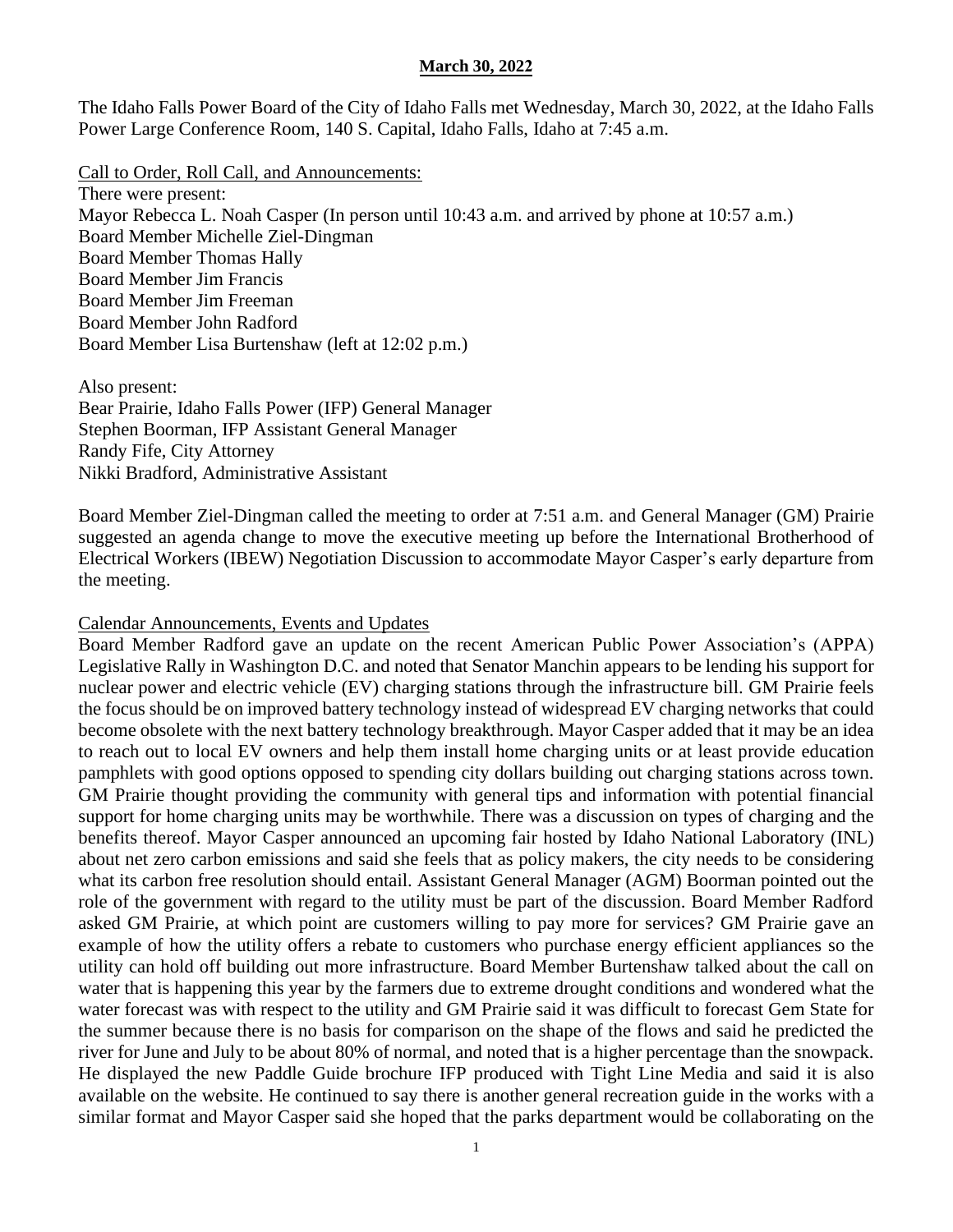The Idaho Falls Power Board of the City of Idaho Falls met Wednesday, March 30, 2022, at the Idaho Falls Power Large Conference Room, 140 S. Capital, Idaho Falls, Idaho at 7:45 a.m.

Call to Order, Roll Call, and Announcements: There were present: Mayor Rebecca L. Noah Casper (In person until 10:43 a.m. and arrived by phone at 10:57 a.m.) Board Member Michelle Ziel-Dingman Board Member Thomas Hally Board Member Jim Francis Board Member Jim Freeman Board Member John Radford Board Member Lisa Burtenshaw (left at 12:02 p.m.)

Also present: Bear Prairie, Idaho Falls Power (IFP) General Manager Stephen Boorman, IFP Assistant General Manager Randy Fife, City Attorney Nikki Bradford, Administrative Assistant

Board Member Ziel-Dingman called the meeting to order at 7:51 a.m. and General Manager (GM) Prairie suggested an agenda change to move the executive meeting up before the International Brotherhood of Electrical Workers (IBEW) Negotiation Discussion to accommodate Mayor Casper's early departure from the meeting.

#### Calendar Announcements, Events and Updates

Board Member Radford gave an update on the recent American Public Power Association's (APPA) Legislative Rally in Washington D.C. and noted that Senator Manchin appears to be lending his support for nuclear power and electric vehicle (EV) charging stations through the infrastructure bill. GM Prairie feels the focus should be on improved battery technology instead of widespread EV charging networks that could become obsolete with the next battery technology breakthrough. Mayor Casper added that it may be an idea to reach out to local EV owners and help them install home charging units or at least provide education pamphlets with good options opposed to spending city dollars building out charging stations across town. GM Prairie thought providing the community with general tips and information with potential financial support for home charging units may be worthwhile. There was a discussion on types of charging and the benefits thereof. Mayor Casper announced an upcoming fair hosted by Idaho National Laboratory (INL) about net zero carbon emissions and said she feels that as policy makers, the city needs to be considering what its carbon free resolution should entail. Assistant General Manager (AGM) Boorman pointed out the role of the government with regard to the utility must be part of the discussion. Board Member Radford asked GM Prairie, at which point are customers willing to pay more for services? GM Prairie gave an example of how the utility offers a rebate to customers who purchase energy efficient appliances so the utility can hold off building out more infrastructure. Board Member Burtenshaw talked about the call on water that is happening this year by the farmers due to extreme drought conditions and wondered what the water forecast was with respect to the utility and GM Prairie said it was difficult to forecast Gem State for the summer because there is no basis for comparison on the shape of the flows and said he predicted the river for June and July to be about 80% of normal, and noted that is a higher percentage than the snowpack. He displayed the new Paddle Guide brochure IFP produced with Tight Line Media and said it is also available on the website. He continued to say there is another general recreation guide in the works with a similar format and Mayor Casper said she hoped that the parks department would be collaborating on the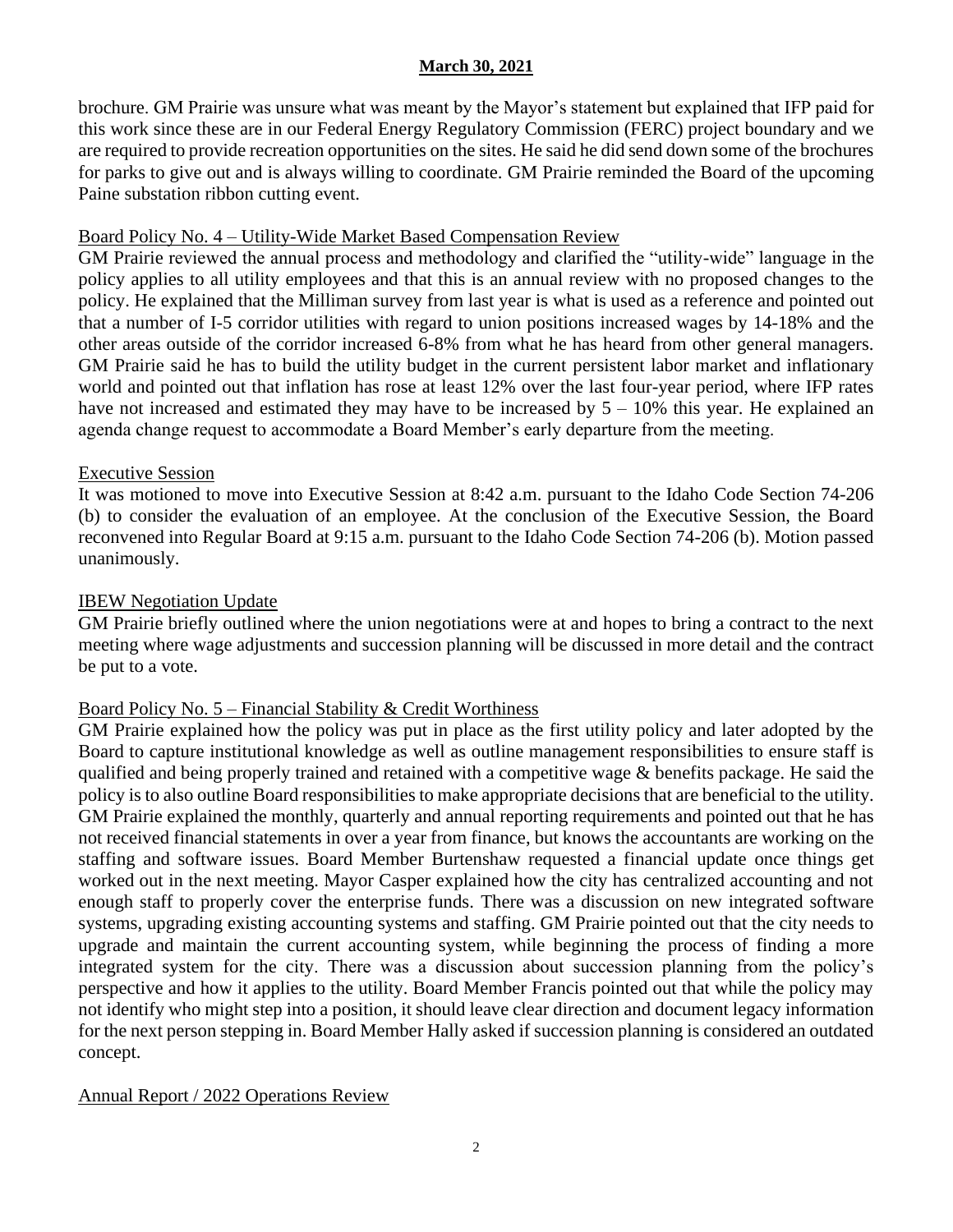brochure. GM Prairie was unsure what was meant by the Mayor's statement but explained that IFP paid for this work since these are in our Federal Energy Regulatory Commission (FERC) project boundary and we are required to provide recreation opportunities on the sites. He said he did send down some of the brochures for parks to give out and is always willing to coordinate. GM Prairie reminded the Board of the upcoming Paine substation ribbon cutting event.

## Board Policy No. 4 – Utility-Wide Market Based Compensation Review

GM Prairie reviewed the annual process and methodology and clarified the "utility-wide" language in the policy applies to all utility employees and that this is an annual review with no proposed changes to the policy. He explained that the Milliman survey from last year is what is used as a reference and pointed out that a number of I-5 corridor utilities with regard to union positions increased wages by 14-18% and the other areas outside of the corridor increased 6-8% from what he has heard from other general managers. GM Prairie said he has to build the utility budget in the current persistent labor market and inflationary world and pointed out that inflation has rose at least 12% over the last four-year period, where IFP rates have not increased and estimated they may have to be increased by  $5 - 10\%$  this year. He explained an agenda change request to accommodate a Board Member's early departure from the meeting.

## Executive Session

It was motioned to move into Executive Session at 8:42 a.m. pursuant to the Idaho Code Section 74-206 (b) to consider the evaluation of an employee. At the conclusion of the Executive Session, the Board reconvened into Regular Board at 9:15 a.m. pursuant to the Idaho Code Section 74-206 (b). Motion passed unanimously.

## IBEW Negotiation Update

GM Prairie briefly outlined where the union negotiations were at and hopes to bring a contract to the next meeting where wage adjustments and succession planning will be discussed in more detail and the contract be put to a vote.

# Board Policy No. 5 – Financial Stability & Credit Worthiness

GM Prairie explained how the policy was put in place as the first utility policy and later adopted by the Board to capture institutional knowledge as well as outline management responsibilities to ensure staff is qualified and being properly trained and retained with a competitive wage & benefits package. He said the policy is to also outline Board responsibilities to make appropriate decisions that are beneficial to the utility. GM Prairie explained the monthly, quarterly and annual reporting requirements and pointed out that he has not received financial statements in over a year from finance, but knows the accountants are working on the staffing and software issues. Board Member Burtenshaw requested a financial update once things get worked out in the next meeting. Mayor Casper explained how the city has centralized accounting and not enough staff to properly cover the enterprise funds. There was a discussion on new integrated software systems, upgrading existing accounting systems and staffing. GM Prairie pointed out that the city needs to upgrade and maintain the current accounting system, while beginning the process of finding a more integrated system for the city. There was a discussion about succession planning from the policy's perspective and how it applies to the utility. Board Member Francis pointed out that while the policy may not identify who might step into a position, it should leave clear direction and document legacy information for the next person stepping in. Board Member Hally asked if succession planning is considered an outdated concept.

# Annual Report / 2022 Operations Review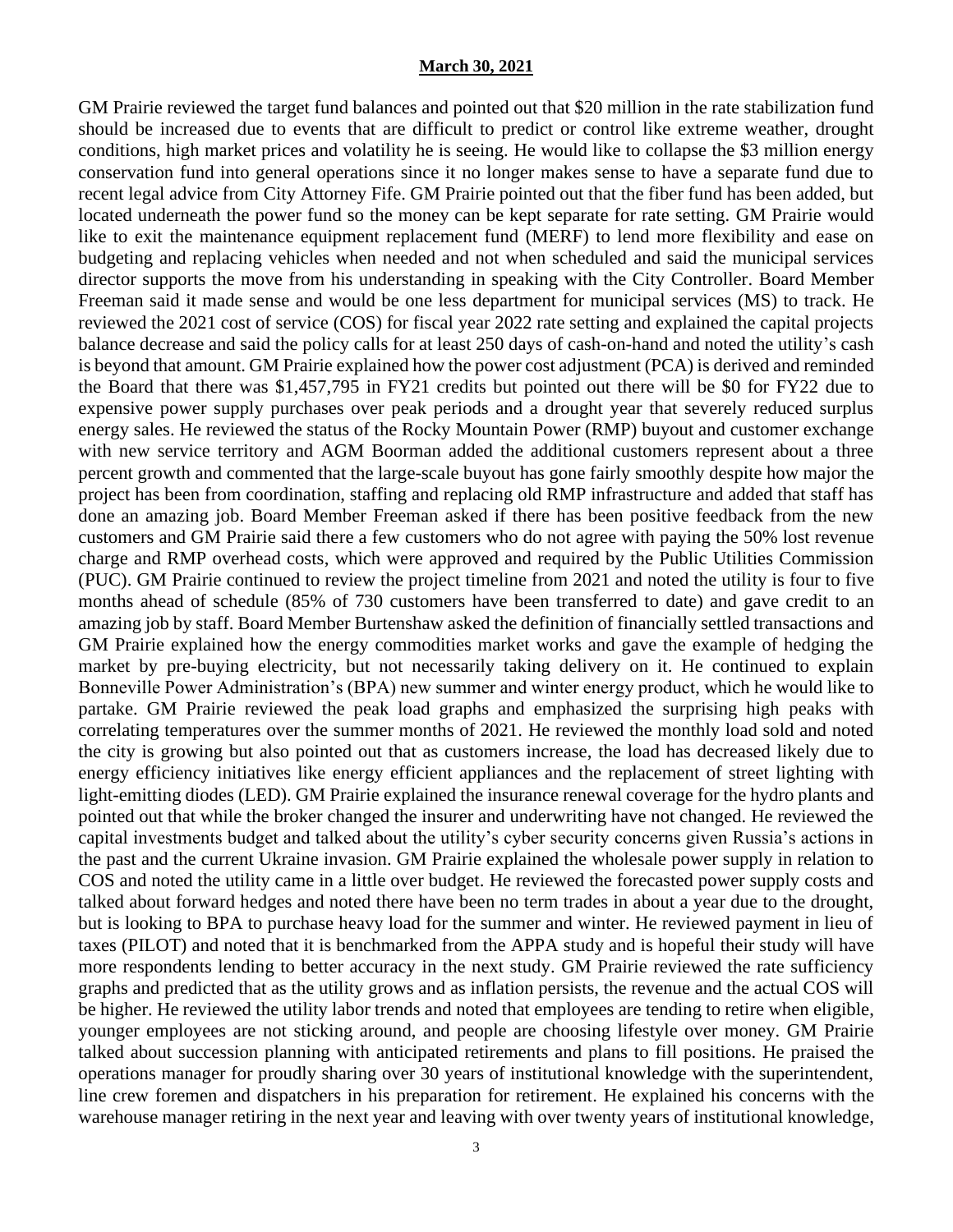GM Prairie reviewed the target fund balances and pointed out that \$20 million in the rate stabilization fund should be increased due to events that are difficult to predict or control like extreme weather, drought conditions, high market prices and volatility he is seeing. He would like to collapse the \$3 million energy conservation fund into general operations since it no longer makes sense to have a separate fund due to recent legal advice from City Attorney Fife. GM Prairie pointed out that the fiber fund has been added, but located underneath the power fund so the money can be kept separate for rate setting. GM Prairie would like to exit the maintenance equipment replacement fund (MERF) to lend more flexibility and ease on budgeting and replacing vehicles when needed and not when scheduled and said the municipal services director supports the move from his understanding in speaking with the City Controller. Board Member Freeman said it made sense and would be one less department for municipal services (MS) to track. He reviewed the 2021 cost of service (COS) for fiscal year 2022 rate setting and explained the capital projects balance decrease and said the policy calls for at least 250 days of cash-on-hand and noted the utility's cash is beyond that amount. GM Prairie explained how the power cost adjustment (PCA) is derived and reminded the Board that there was \$1,457,795 in FY21 credits but pointed out there will be \$0 for FY22 due to expensive power supply purchases over peak periods and a drought year that severely reduced surplus energy sales. He reviewed the status of the Rocky Mountain Power (RMP) buyout and customer exchange with new service territory and AGM Boorman added the additional customers represent about a three percent growth and commented that the large-scale buyout has gone fairly smoothly despite how major the project has been from coordination, staffing and replacing old RMP infrastructure and added that staff has done an amazing job. Board Member Freeman asked if there has been positive feedback from the new customers and GM Prairie said there a few customers who do not agree with paying the 50% lost revenue charge and RMP overhead costs, which were approved and required by the Public Utilities Commission (PUC). GM Prairie continued to review the project timeline from 2021 and noted the utility is four to five months ahead of schedule (85% of 730 customers have been transferred to date) and gave credit to an amazing job by staff. Board Member Burtenshaw asked the definition of financially settled transactions and GM Prairie explained how the energy commodities market works and gave the example of hedging the market by pre-buying electricity, but not necessarily taking delivery on it. He continued to explain Bonneville Power Administration's (BPA) new summer and winter energy product, which he would like to partake. GM Prairie reviewed the peak load graphs and emphasized the surprising high peaks with correlating temperatures over the summer months of 2021. He reviewed the monthly load sold and noted the city is growing but also pointed out that as customers increase, the load has decreased likely due to energy efficiency initiatives like energy efficient appliances and the replacement of street lighting with light-emitting diodes (LED). GM Prairie explained the insurance renewal coverage for the hydro plants and pointed out that while the broker changed the insurer and underwriting have not changed. He reviewed the capital investments budget and talked about the utility's cyber security concerns given Russia's actions in the past and the current Ukraine invasion. GM Prairie explained the wholesale power supply in relation to COS and noted the utility came in a little over budget. He reviewed the forecasted power supply costs and talked about forward hedges and noted there have been no term trades in about a year due to the drought, but is looking to BPA to purchase heavy load for the summer and winter. He reviewed payment in lieu of taxes (PILOT) and noted that it is benchmarked from the APPA study and is hopeful their study will have more respondents lending to better accuracy in the next study. GM Prairie reviewed the rate sufficiency graphs and predicted that as the utility grows and as inflation persists, the revenue and the actual COS will be higher. He reviewed the utility labor trends and noted that employees are tending to retire when eligible, younger employees are not sticking around, and people are choosing lifestyle over money. GM Prairie talked about succession planning with anticipated retirements and plans to fill positions. He praised the operations manager for proudly sharing over 30 years of institutional knowledge with the superintendent, line crew foremen and dispatchers in his preparation for retirement. He explained his concerns with the warehouse manager retiring in the next year and leaving with over twenty years of institutional knowledge,